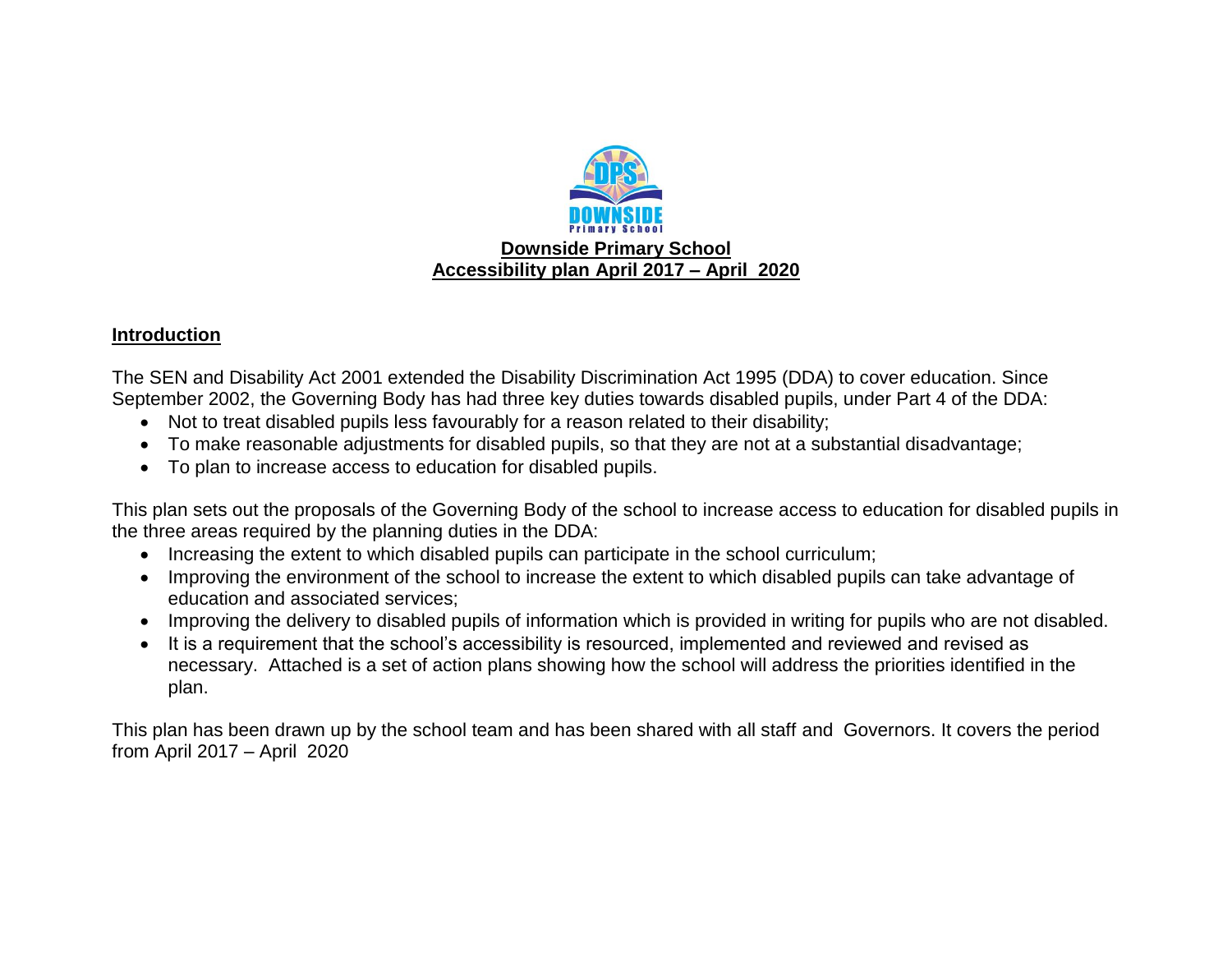

# **Introduction**

The SEN and Disability Act 2001 extended the Disability Discrimination Act 1995 (DDA) to cover education. Since September 2002, the Governing Body has had three key duties towards disabled pupils, under Part 4 of the DDA:

- Not to treat disabled pupils less favourably for a reason related to their disability;
- To make reasonable adjustments for disabled pupils, so that they are not at a substantial disadvantage;
- To plan to increase access to education for disabled pupils.

This plan sets out the proposals of the Governing Body of the school to increase access to education for disabled pupils in the three areas required by the planning duties in the DDA:

- Increasing the extent to which disabled pupils can participate in the school curriculum;
- Improving the environment of the school to increase the extent to which disabled pupils can take advantage of education and associated services;
- Improving the delivery to disabled pupils of information which is provided in writing for pupils who are not disabled.
- It is a requirement that the school's accessibility is resourced, implemented and reviewed and revised as necessary. Attached is a set of action plans showing how the school will address the priorities identified in the plan.

This plan has been drawn up by the school team and has been shared with all staff and Governors. It covers the period from April 2017 – April 2020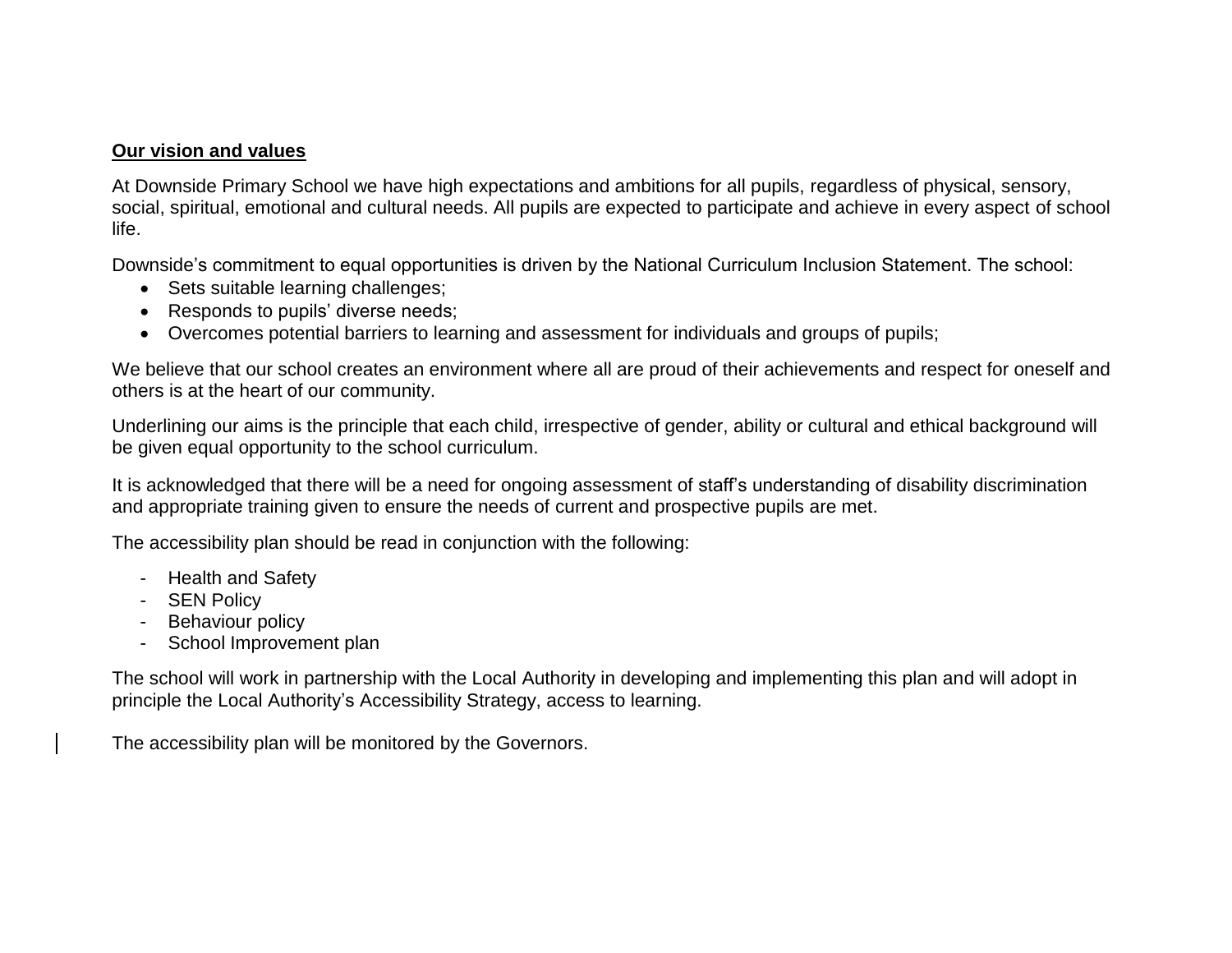### **Our vision and values**

At Downside Primary School we have high expectations and ambitions for all pupils, regardless of physical, sensory, social, spiritual, emotional and cultural needs. All pupils are expected to participate and achieve in every aspect of school life.

Downside's commitment to equal opportunities is driven by the National Curriculum Inclusion Statement. The school:

- Sets suitable learning challenges;
- Responds to pupils' diverse needs;
- Overcomes potential barriers to learning and assessment for individuals and groups of pupils;

We believe that our school creates an environment where all are proud of their achievements and respect for oneself and others is at the heart of our community.

Underlining our aims is the principle that each child, irrespective of gender, ability or cultural and ethical background will be given equal opportunity to the school curriculum.

It is acknowledged that there will be a need for ongoing assessment of staff's understanding of disability discrimination and appropriate training given to ensure the needs of current and prospective pupils are met.

The accessibility plan should be read in conjunction with the following:

- Health and Safety
- SEN Policy
- Behaviour policy
- School Improvement plan

The school will work in partnership with the Local Authority in developing and implementing this plan and will adopt in principle the Local Authority's Accessibility Strategy, access to learning.

The accessibility plan will be monitored by the Governors.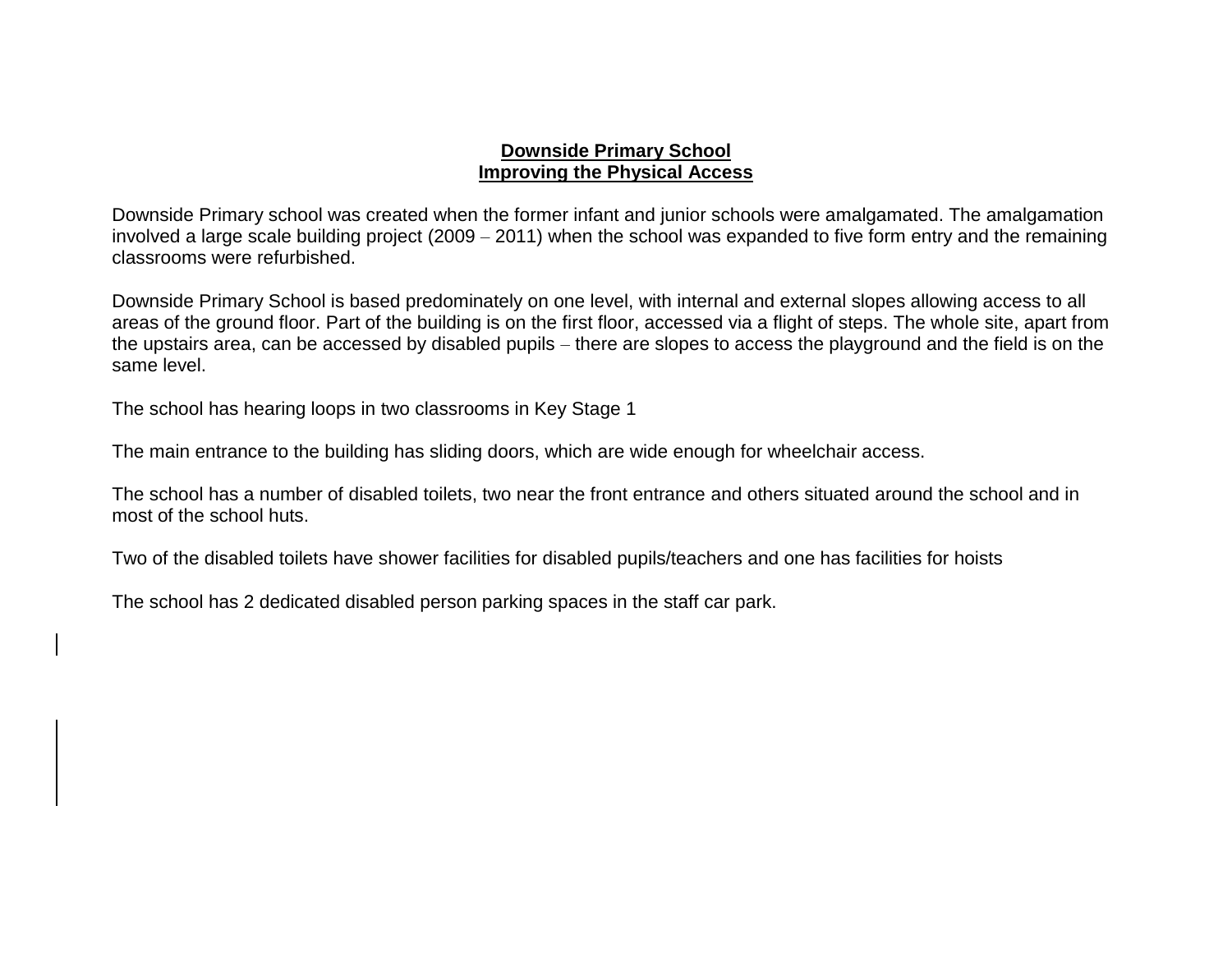### **Downside Primary School Improving the Physical Access**

Downside Primary school was created when the former infant and junior schools were amalgamated. The amalgamation involved a large scale building project (2009 – 2011) when the school was expanded to five form entry and the remaining classrooms were refurbished.

Downside Primary School is based predominately on one level, with internal and external slopes allowing access to all areas of the ground floor. Part of the building is on the first floor, accessed via a flight of steps. The whole site, apart from the upstairs area, can be accessed by disabled pupils – there are slopes to access the playground and the field is on the same level.

The school has hearing loops in two classrooms in Key Stage 1

The main entrance to the building has sliding doors, which are wide enough for wheelchair access.

The school has a number of disabled toilets, two near the front entrance and others situated around the school and in most of the school huts.

Two of the disabled toilets have shower facilities for disabled pupils/teachers and one has facilities for hoists

The school has 2 dedicated disabled person parking spaces in the staff car park.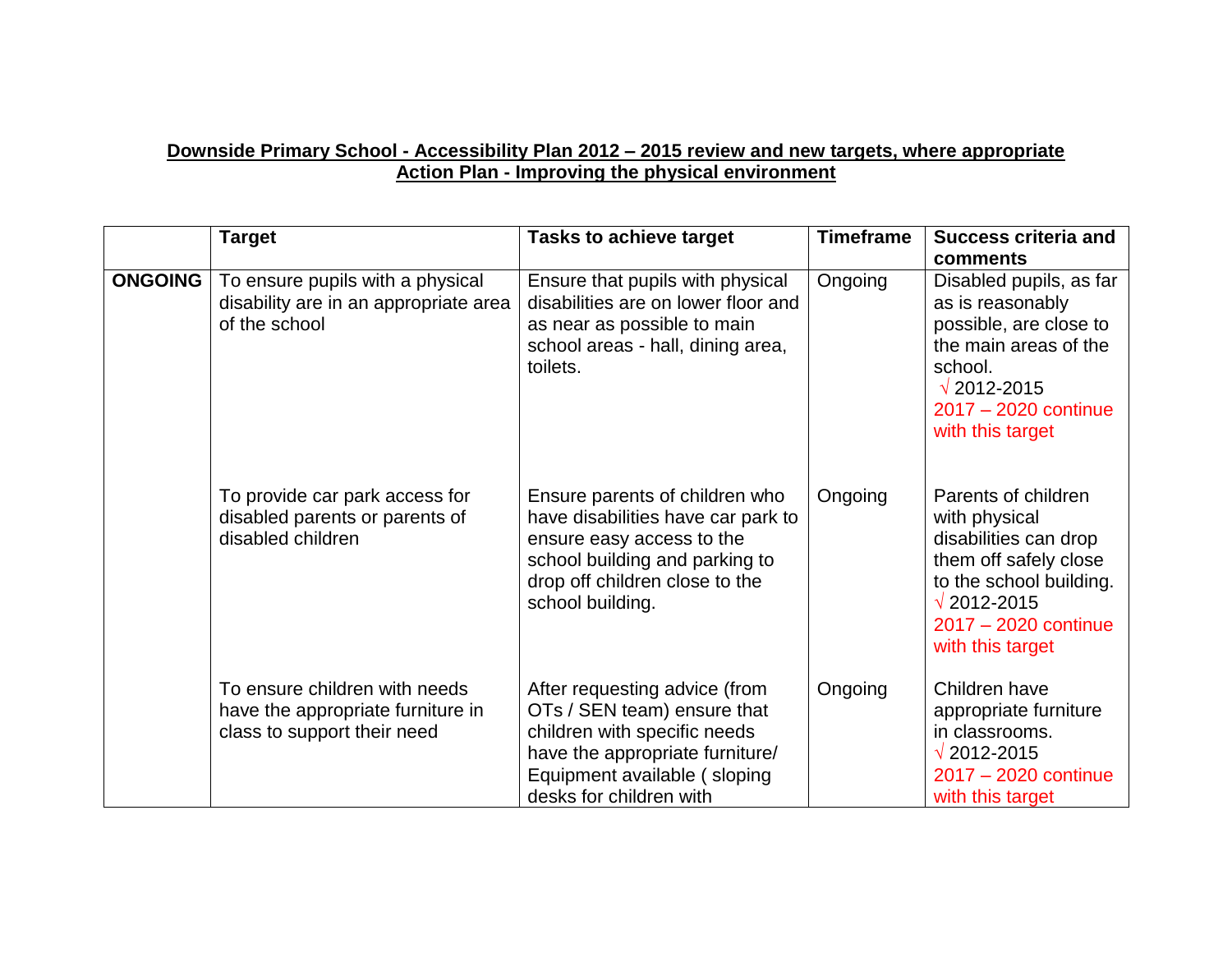## **Downside Primary School - Accessibility Plan 2012 – 2015 review and new targets, where appropriate Action Plan - Improving the physical environment**

|                | <b>Target</b>                                                                                     | <b>Tasks to achieve target</b>                                                                                                                                                             | <b>Timeframe</b> | <b>Success criteria and</b>                                                                                                                                                             |
|----------------|---------------------------------------------------------------------------------------------------|--------------------------------------------------------------------------------------------------------------------------------------------------------------------------------------------|------------------|-----------------------------------------------------------------------------------------------------------------------------------------------------------------------------------------|
|                |                                                                                                   |                                                                                                                                                                                            |                  | comments                                                                                                                                                                                |
| <b>ONGOING</b> | To ensure pupils with a physical<br>disability are in an appropriate area<br>of the school        | Ensure that pupils with physical<br>disabilities are on lower floor and<br>as near as possible to main<br>school areas - hall, dining area,<br>toilets.                                    | Ongoing          | Disabled pupils, as far<br>as is reasonably<br>possible, are close to<br>the main areas of the<br>school.<br>$\sqrt{2012 - 2015}$<br>2017 - 2020 continue<br>with this target           |
|                | To provide car park access for<br>disabled parents or parents of<br>disabled children             | Ensure parents of children who<br>have disabilities have car park to<br>ensure easy access to the<br>school building and parking to<br>drop off children close to the<br>school building.  | Ongoing          | Parents of children<br>with physical<br>disabilities can drop<br>them off safely close<br>to the school building.<br>$\sqrt{2012 - 2015}$<br>$2017 - 2020$ continue<br>with this target |
|                | To ensure children with needs<br>have the appropriate furniture in<br>class to support their need | After requesting advice (from<br>OTs / SEN team) ensure that<br>children with specific needs<br>have the appropriate furniture/<br>Equipment available (sloping<br>desks for children with | Ongoing          | Children have<br>appropriate furniture<br>in classrooms.<br>$\sqrt{2012 - 2015}$<br>2017 - 2020 continue<br>with this target                                                            |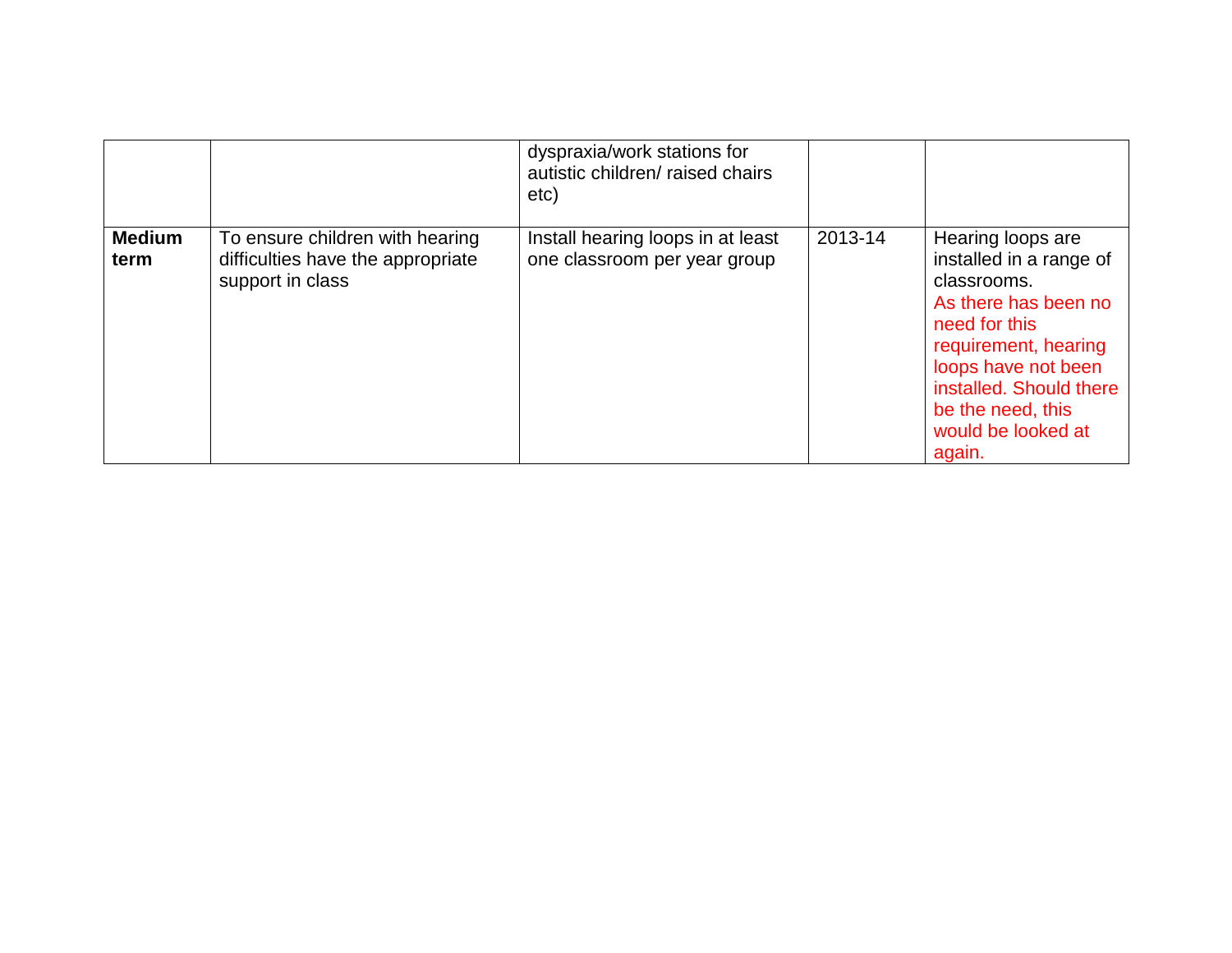|                       |                                                                                          | dyspraxia/work stations for<br>autistic children/ raised chairs<br>etc) |         |                                                                                                                                                                                                                                     |
|-----------------------|------------------------------------------------------------------------------------------|-------------------------------------------------------------------------|---------|-------------------------------------------------------------------------------------------------------------------------------------------------------------------------------------------------------------------------------------|
| <b>Medium</b><br>term | To ensure children with hearing<br>difficulties have the appropriate<br>support in class | Install hearing loops in at least<br>one classroom per year group       | 2013-14 | Hearing loops are<br>installed in a range of<br>classrooms.<br>As there has been no<br>need for this<br>requirement, hearing<br>loops have not been<br>installed. Should there<br>be the need, this<br>would be looked at<br>again. |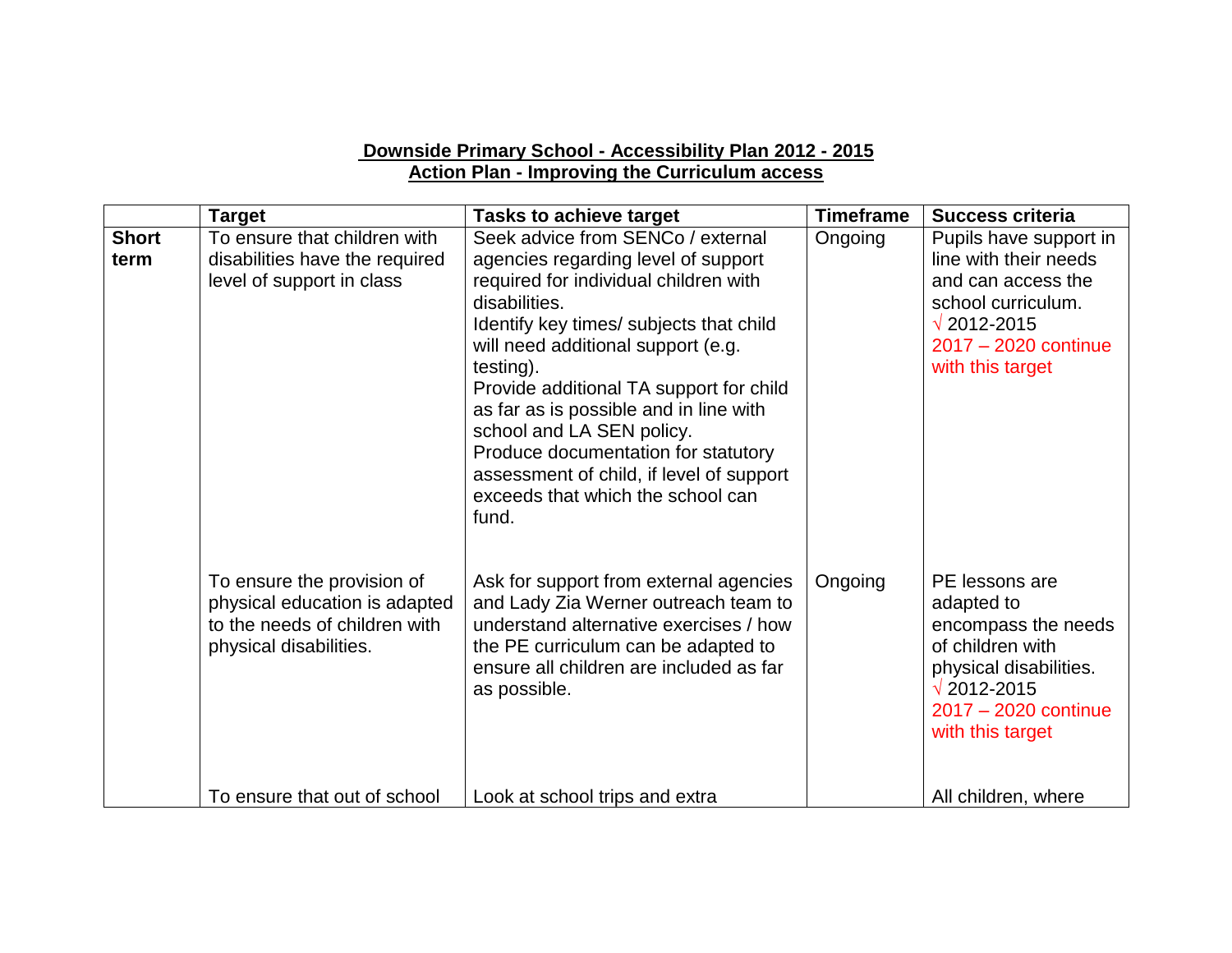#### **Downside Primary School - Accessibility Plan 2012 - 2015 Action Plan - Improving the Curriculum access**

|                      | <b>Target</b>                                                                                                          | <b>Tasks to achieve target</b>                                                                                                                                                                                                                                                                                                                                                                                                                                                      | <b>Timeframe</b> | <b>Success criteria</b>                                                                                                                                               |
|----------------------|------------------------------------------------------------------------------------------------------------------------|-------------------------------------------------------------------------------------------------------------------------------------------------------------------------------------------------------------------------------------------------------------------------------------------------------------------------------------------------------------------------------------------------------------------------------------------------------------------------------------|------------------|-----------------------------------------------------------------------------------------------------------------------------------------------------------------------|
| <b>Short</b><br>term | To ensure that children with<br>disabilities have the required<br>level of support in class                            | Seek advice from SENCo / external<br>agencies regarding level of support<br>required for individual children with<br>disabilities.<br>Identify key times/ subjects that child<br>will need additional support (e.g.<br>testing).<br>Provide additional TA support for child<br>as far as is possible and in line with<br>school and LA SEN policy.<br>Produce documentation for statutory<br>assessment of child, if level of support<br>exceeds that which the school can<br>fund. | Ongoing          | Pupils have support in<br>line with their needs<br>and can access the<br>school curriculum.<br>$\sqrt{2012 - 2015}$<br>2017 - 2020 continue<br>with this target       |
|                      | To ensure the provision of<br>physical education is adapted<br>to the needs of children with<br>physical disabilities. | Ask for support from external agencies<br>and Lady Zia Werner outreach team to<br>understand alternative exercises / how<br>the PE curriculum can be adapted to<br>ensure all children are included as far<br>as possible.                                                                                                                                                                                                                                                          | Ongoing          | PE lessons are<br>adapted to<br>encompass the needs<br>of children with<br>physical disabilities.<br>$\sqrt{2012 - 2015}$<br>2017 - 2020 continue<br>with this target |
|                      | To ensure that out of school                                                                                           | Look at school trips and extra                                                                                                                                                                                                                                                                                                                                                                                                                                                      |                  | All children, where                                                                                                                                                   |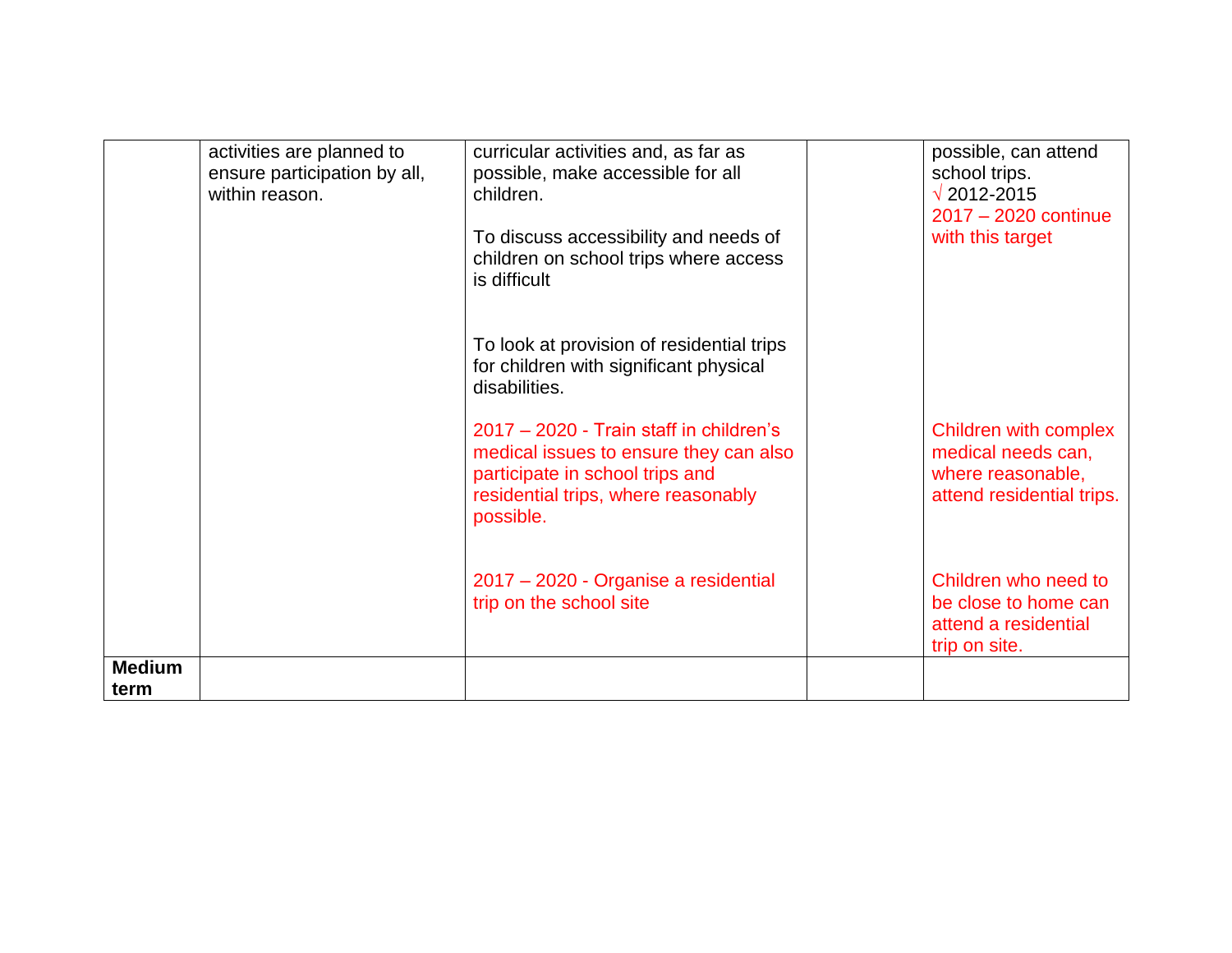|                       | activities are planned to<br>ensure participation by all,<br>within reason. | curricular activities and, as far as<br>possible, make accessible for all<br>children.<br>To discuss accessibility and needs of<br>children on school trips where access<br>is difficult | possible, can attend<br>school trips.<br>$\sqrt{2012 - 2015}$<br>2017 - 2020 continue<br>with this target |
|-----------------------|-----------------------------------------------------------------------------|------------------------------------------------------------------------------------------------------------------------------------------------------------------------------------------|-----------------------------------------------------------------------------------------------------------|
|                       |                                                                             | To look at provision of residential trips<br>for children with significant physical<br>disabilities.                                                                                     |                                                                                                           |
|                       |                                                                             | 2017 - 2020 - Train staff in children's<br>medical issues to ensure they can also<br>participate in school trips and<br>residential trips, where reasonably<br>possible.                 | Children with complex<br>medical needs can,<br>where reasonable,<br>attend residential trips.             |
|                       |                                                                             | 2017 – 2020 - Organise a residential<br>trip on the school site                                                                                                                          | Children who need to<br>be close to home can<br>attend a residential<br>trip on site.                     |
| <b>Medium</b><br>term |                                                                             |                                                                                                                                                                                          |                                                                                                           |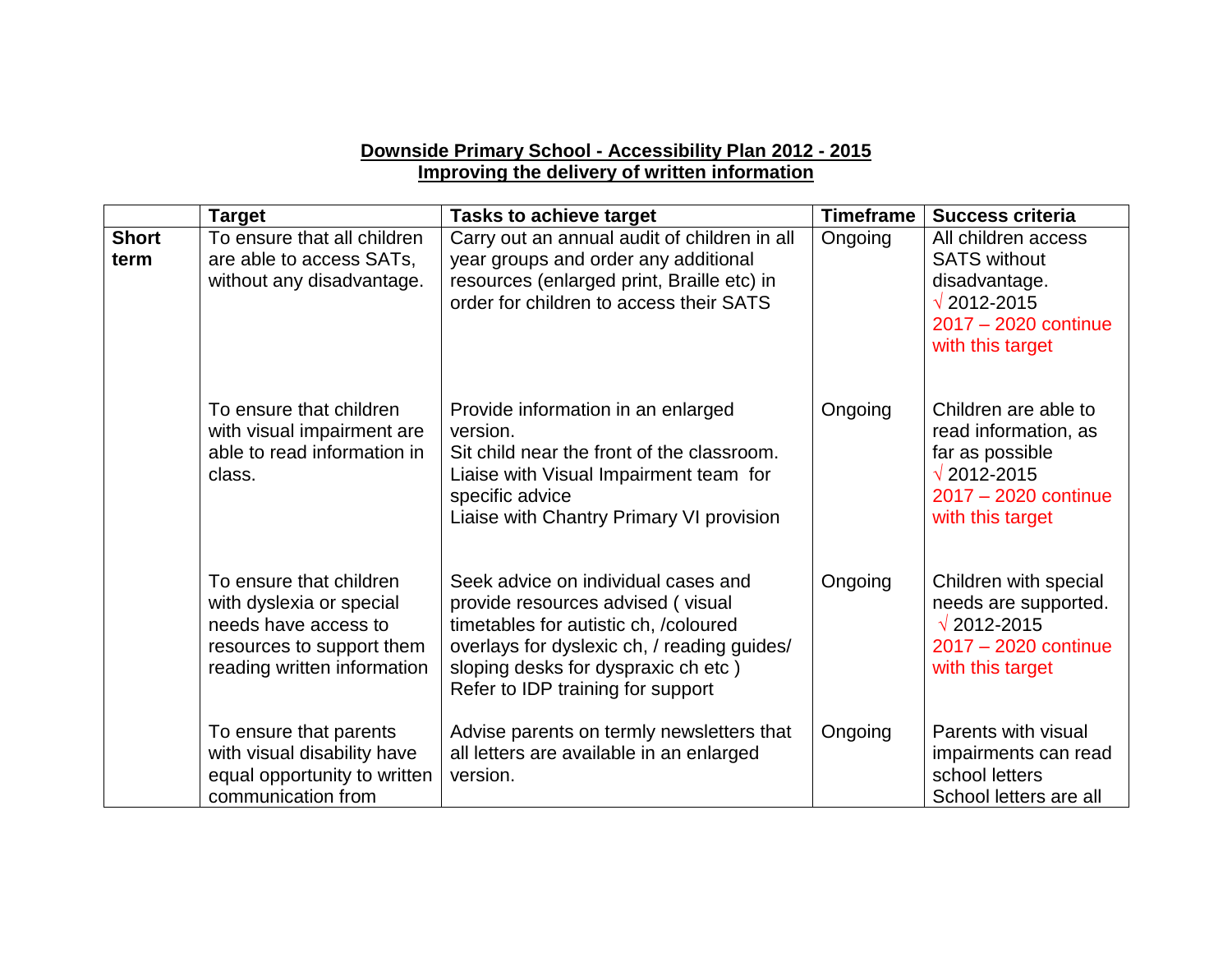#### **Downside Primary School - Accessibility Plan 2012 - 2015 Improving the delivery of written information**

|                      | <b>Target</b>                                                                                                                           | <b>Tasks to achieve target</b>                                                                                                                                                                                                               | <b>Timeframe</b> | <b>Success criteria</b>                                                                                                             |
|----------------------|-----------------------------------------------------------------------------------------------------------------------------------------|----------------------------------------------------------------------------------------------------------------------------------------------------------------------------------------------------------------------------------------------|------------------|-------------------------------------------------------------------------------------------------------------------------------------|
| <b>Short</b><br>term | To ensure that all children<br>are able to access SATs,<br>without any disadvantage.                                                    | Carry out an annual audit of children in all<br>year groups and order any additional<br>resources (enlarged print, Braille etc) in<br>order for children to access their SATS                                                                | Ongoing          | All children access<br><b>SATS without</b><br>disadvantage.<br>$\sqrt{2012 - 2015}$<br>2017 - 2020 continue<br>with this target     |
|                      | To ensure that children<br>with visual impairment are<br>able to read information in<br>class.                                          | Provide information in an enlarged<br>version.<br>Sit child near the front of the classroom.<br>Liaise with Visual Impairment team for<br>specific advice<br>Liaise with Chantry Primary VI provision                                        | Ongoing          | Children are able to<br>read information, as<br>far as possible<br>$\sqrt{2012 - 2015}$<br>2017 - 2020 continue<br>with this target |
|                      | To ensure that children<br>with dyslexia or special<br>needs have access to<br>resources to support them<br>reading written information | Seek advice on individual cases and<br>provide resources advised (visual<br>timetables for autistic ch, /coloured<br>overlays for dyslexic ch, / reading guides/<br>sloping desks for dyspraxic ch etc)<br>Refer to IDP training for support | Ongoing          | Children with special<br>needs are supported.<br>$\sqrt{2012 - 2015}$<br>2017 - 2020 continue<br>with this target                   |
|                      | To ensure that parents<br>with visual disability have<br>equal opportunity to written<br>communication from                             | Advise parents on termly newsletters that<br>all letters are available in an enlarged<br>version.                                                                                                                                            | Ongoing          | Parents with visual<br>impairments can read<br>school letters<br>School letters are all                                             |